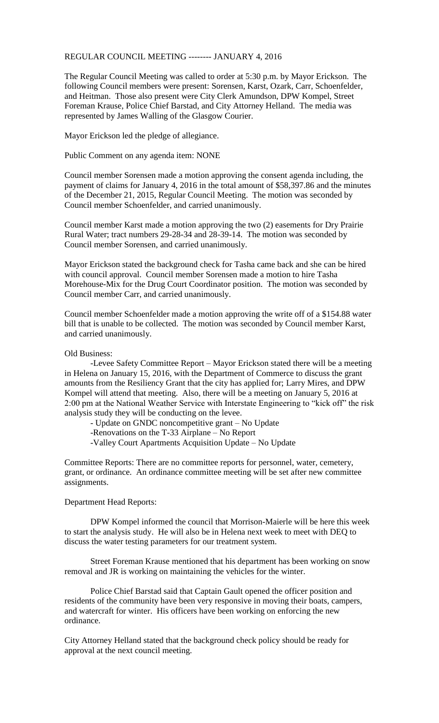## REGULAR COUNCIL MEETING -------- JANUARY 4, 2016

The Regular Council Meeting was called to order at 5:30 p.m. by Mayor Erickson. The following Council members were present: Sorensen, Karst, Ozark, Carr, Schoenfelder, and Heitman. Those also present were City Clerk Amundson, DPW Kompel, Street Foreman Krause, Police Chief Barstad, and City Attorney Helland. The media was represented by James Walling of the Glasgow Courier.

Mayor Erickson led the pledge of allegiance.

Public Comment on any agenda item: NONE

Council member Sorensen made a motion approving the consent agenda including, the payment of claims for January 4, 2016 in the total amount of \$58,397.86 and the minutes of the December 21, 2015, Regular Council Meeting. The motion was seconded by Council member Schoenfelder, and carried unanimously.

Council member Karst made a motion approving the two (2) easements for Dry Prairie Rural Water; tract numbers 29-28-34 and 28-39-14. The motion was seconded by Council member Sorensen, and carried unanimously.

Mayor Erickson stated the background check for Tasha came back and she can be hired with council approval. Council member Sorensen made a motion to hire Tasha Morehouse-Mix for the Drug Court Coordinator position. The motion was seconded by Council member Carr, and carried unanimously.

Council member Schoenfelder made a motion approving the write off of a \$154.88 water bill that is unable to be collected. The motion was seconded by Council member Karst, and carried unanimously.

## Old Business:

-Levee Safety Committee Report – Mayor Erickson stated there will be a meeting in Helena on January 15, 2016, with the Department of Commerce to discuss the grant amounts from the Resiliency Grant that the city has applied for; Larry Mires, and DPW Kompel will attend that meeting. Also, there will be a meeting on January 5, 2016 at 2:00 pm at the National Weather Service with Interstate Engineering to "kick off" the risk analysis study they will be conducting on the levee.

- Update on GNDC noncompetitive grant – No Update

-Renovations on the T-33 Airplane – No Report

-Valley Court Apartments Acquisition Update – No Update

Committee Reports: There are no committee reports for personnel, water, cemetery, grant, or ordinance. An ordinance committee meeting will be set after new committee assignments.

## Department Head Reports:

DPW Kompel informed the council that Morrison-Maierle will be here this week to start the analysis study. He will also be in Helena next week to meet with DEQ to discuss the water testing parameters for our treatment system.

Street Foreman Krause mentioned that his department has been working on snow removal and JR is working on maintaining the vehicles for the winter.

Police Chief Barstad said that Captain Gault opened the officer position and residents of the community have been very responsive in moving their boats, campers, and watercraft for winter. His officers have been working on enforcing the new ordinance.

City Attorney Helland stated that the background check policy should be ready for approval at the next council meeting.